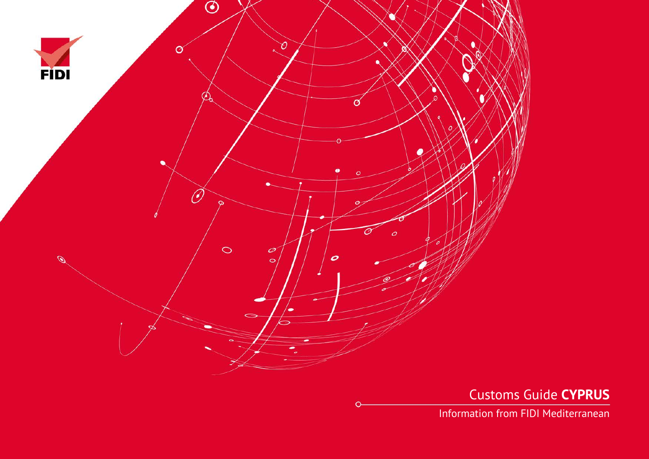

Customs Guide **CYPRUS**

Information from FIDI Mediterranean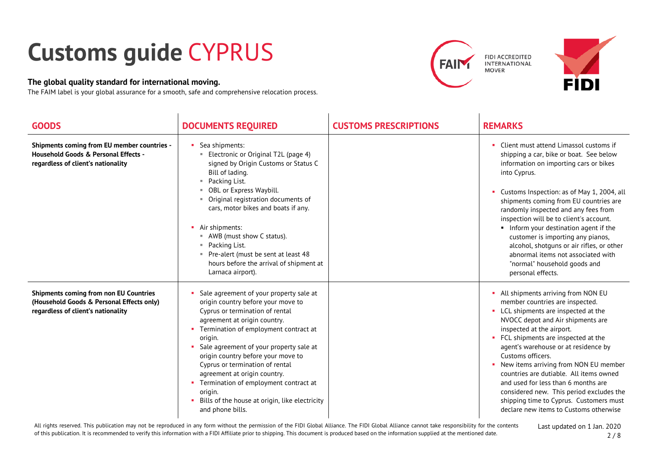## **Customs guide** CYPRUS

## **The global quality standard for international moving.**

The FAIM label is your global assurance for a smooth, safe and comprehensive relocation process.





| <b>GOODS</b>                                                                                                                     | <b>DOCUMENTS REQUIRED</b>                                                                                                                                                                                                                                                                                                                                                                                                                                                              | <b>CUSTOMS PRESCRIPTIONS</b> | <b>REMARKS</b>                                                                                                                                                                                                                                                                                                                                                                                                                                                                                                                                     |
|----------------------------------------------------------------------------------------------------------------------------------|----------------------------------------------------------------------------------------------------------------------------------------------------------------------------------------------------------------------------------------------------------------------------------------------------------------------------------------------------------------------------------------------------------------------------------------------------------------------------------------|------------------------------|----------------------------------------------------------------------------------------------------------------------------------------------------------------------------------------------------------------------------------------------------------------------------------------------------------------------------------------------------------------------------------------------------------------------------------------------------------------------------------------------------------------------------------------------------|
| Shipments coming from EU member countries -<br>Household Goods & Personal Effects -<br>regardless of client's nationality        | Sea shipments:<br>Electronic or Original T2L (page 4)<br>signed by Origin Customs or Status C<br>Bill of lading.<br>Packing List.<br>×.<br>OBL or Express Waybill.<br>Original registration documents of<br>cars, motor bikes and boats if any.<br>Air shipments:<br>■ AWB (must show C status).<br>Packing List.<br>m.<br>Pre-alert (must be sent at least 48<br>hours before the arrival of shipment at<br>Larnaca airport).                                                         |                              | • Client must attend Limassol customs if<br>shipping a car, bike or boat. See below<br>information on importing cars or bikes<br>into Cyprus.<br>Customs Inspection: as of May 1, 2004, all<br>shipments coming from EU countries are<br>randomly inspected and any fees from<br>inspection will be to client's account.<br>Inform your destination agent if the<br>customer is importing any pianos,<br>alcohol, shotquns or air rifles, or other<br>abnormal items not associated with<br>"normal" household goods and<br>personal effects.      |
| <b>Shipments coming from non EU Countries</b><br>(Household Goods & Personal Effects only)<br>regardless of client's nationality | Sale agreement of your property sale at<br>origin country before your move to<br>Cyprus or termination of rental<br>agreement at origin country.<br>• Termination of employment contract at<br>origin.<br>Sale agreement of your property sale at<br>origin country before your move to<br>Cyprus or termination of rental<br>agreement at origin country.<br>• Termination of employment contract at<br>origin.<br>Bills of the house at origin, like electricity<br>and phone bills. |                              | • All shipments arriving from NON EU<br>member countries are inspected.<br>• LCL shipments are inspected at the<br>NVOCC depot and Air shipments are<br>inspected at the airport.<br>• FCL shipments are inspected at the<br>agent's warehouse or at residence by<br>Customs officers.<br>New items arriving from NON EU member<br>countries are dutiable. All items owned<br>and used for less than 6 months are<br>considered new. This period excludes the<br>shipping time to Cyprus. Customers must<br>declare new items to Customs otherwise |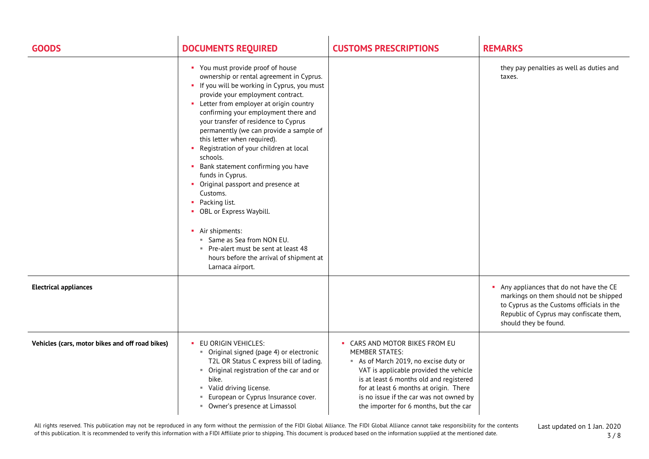| <b>GOODS</b>                                    | <b>DOCUMENTS REQUIRED</b>                                                                                                                                                                                                                                                                                                                                                                                                                                                                                                                                                                                                                                                                                                                            | <b>CUSTOMS PRESCRIPTIONS</b>                                                                                                                                                                                                                                                                                | <b>REMARKS</b>                                                                                                                                                                                    |
|-------------------------------------------------|------------------------------------------------------------------------------------------------------------------------------------------------------------------------------------------------------------------------------------------------------------------------------------------------------------------------------------------------------------------------------------------------------------------------------------------------------------------------------------------------------------------------------------------------------------------------------------------------------------------------------------------------------------------------------------------------------------------------------------------------------|-------------------------------------------------------------------------------------------------------------------------------------------------------------------------------------------------------------------------------------------------------------------------------------------------------------|---------------------------------------------------------------------------------------------------------------------------------------------------------------------------------------------------|
|                                                 | • You must provide proof of house<br>ownership or rental agreement in Cyprus.<br>• If you will be working in Cyprus, you must<br>provide your employment contract.<br>• Letter from employer at origin country<br>confirming your employment there and<br>your transfer of residence to Cyprus<br>permanently (we can provide a sample of<br>this letter when required).<br>Registration of your children at local<br>schools.<br>• Bank statement confirming you have<br>funds in Cyprus.<br>• Original passport and presence at<br>Customs.<br>• Packing list.<br>• OBL or Express Waybill.<br>• Air shipments:<br>" Same as Sea from NON EU.<br>Pre-alert must be sent at least 48<br>hours before the arrival of shipment at<br>Larnaca airport. |                                                                                                                                                                                                                                                                                                             | they pay penalties as well as duties and<br>taxes.                                                                                                                                                |
| <b>Electrical appliances</b>                    |                                                                                                                                                                                                                                                                                                                                                                                                                                                                                                                                                                                                                                                                                                                                                      |                                                                                                                                                                                                                                                                                                             | Any appliances that do not have the CE<br>markings on them should not be shipped<br>to Cyprus as the Customs officials in the<br>Republic of Cyprus may confiscate them,<br>should they be found. |
| Vehicles (cars, motor bikes and off road bikes) | EU ORIGIN VEHICLES:<br>• Original signed (page 4) or electronic<br>T2L OR Status C express bill of lading.<br>• Original registration of the car and or<br>bike.<br>Valid driving license.<br>л.<br>European or Cyprus Insurance cover.<br>×.<br>• Owner's presence at Limassol                                                                                                                                                                                                                                                                                                                                                                                                                                                                      | • CARS AND MOTOR BIKES FROM EU<br>MEMBER STATES:<br>As of March 2019, no excise duty or<br>VAT is applicable provided the vehicle<br>is at least 6 months old and registered<br>for at least 6 months at origin. There<br>is no issue if the car was not owned by<br>the importer for 6 months, but the car |                                                                                                                                                                                                   |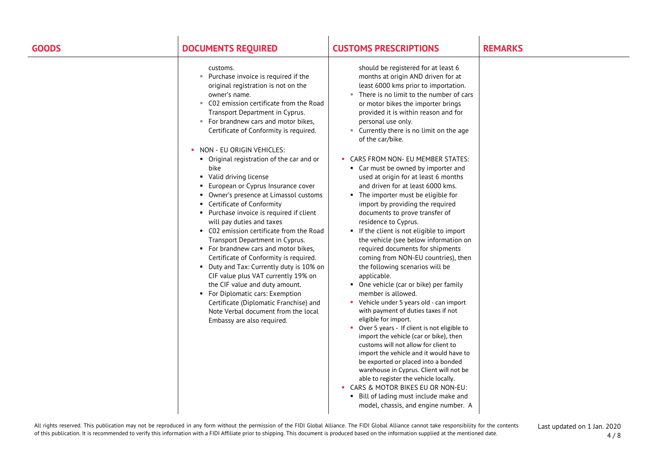| <b>GOODS</b> | <b>DOCUMENTS REQUIRED</b>                                                                                                                                                                                                                                                                                                                                                                                                                                                                                                                                                                                                                                                                                                              | <b>CUSTOMS PRESCRIPTIONS</b>                                                                                                                                                                                                                                                                                                                                                                                                                                                                                                                                                                                                                                                                                                                                                                                                                                                                                                                                                                                                                                                                                       | <b>REMARKS</b> |
|--------------|----------------------------------------------------------------------------------------------------------------------------------------------------------------------------------------------------------------------------------------------------------------------------------------------------------------------------------------------------------------------------------------------------------------------------------------------------------------------------------------------------------------------------------------------------------------------------------------------------------------------------------------------------------------------------------------------------------------------------------------|--------------------------------------------------------------------------------------------------------------------------------------------------------------------------------------------------------------------------------------------------------------------------------------------------------------------------------------------------------------------------------------------------------------------------------------------------------------------------------------------------------------------------------------------------------------------------------------------------------------------------------------------------------------------------------------------------------------------------------------------------------------------------------------------------------------------------------------------------------------------------------------------------------------------------------------------------------------------------------------------------------------------------------------------------------------------------------------------------------------------|----------------|
|              | customs.<br>" Purchase invoice is required if the<br>original registration is not on the<br>owner's name.<br>C02 emission certificate from the Road<br>н.<br>Transport Department in Cyprus.<br>" For brandnew cars and motor bikes,<br>Certificate of Conformity is required.                                                                                                                                                                                                                                                                                                                                                                                                                                                         | should be registered for at least 6<br>months at origin AND driven for at<br>least 6000 kms prior to importation.<br>There is no limit to the number of cars<br>or motor bikes the importer brings<br>provided it is within reason and for<br>personal use only.<br>Currently there is no limit on the age<br>л.<br>of the car/bike.                                                                                                                                                                                                                                                                                                                                                                                                                                                                                                                                                                                                                                                                                                                                                                               |                |
|              | NON - EU ORIGIN VEHICLES:<br>Original registration of the car and or<br>bike<br>• Valid driving license<br>European or Cyprus Insurance cover<br>• Owner's presence at Limassol customs<br>Certificate of Conformity<br>• Purchase invoice is required if client<br>will pay duties and taxes<br>• C02 emission certificate from the Road<br>Transport Department in Cyprus.<br>• For brandnew cars and motor bikes,<br>Certificate of Conformity is required.<br>• Duty and Tax: Currently duty is 10% on<br>CIF value plus VAT currently 19% on<br>the CIF value and duty amount.<br>• For Diplomatic cars: Exemption<br>Certificate (Diplomatic Franchise) and<br>Note Verbal document from the local<br>Embassy are also required. | CARS FROM NON- EU MEMBER STATES:<br>• Car must be owned by importer and<br>used at origin for at least 6 months<br>and driven for at least 6000 kms.<br>• The importer must be eligible for<br>import by providing the required<br>documents to prove transfer of<br>residence to Cyprus.<br>If the client is not eligible to import<br>the vehicle (see below information on<br>required documents for shipments<br>coming from NON-EU countries), then<br>the following scenarios will be<br>applicable.<br>• One vehicle (car or bike) per family<br>member is allowed.<br>Vehicle under 5 years old - can import<br>with payment of duties taxes if not<br>eligible for import.<br>Over 5 years - If client is not eligible to<br>import the vehicle (car or bike), then<br>customs will not allow for client to<br>import the vehicle and it would have to<br>be exported or placed into a bonded<br>warehouse in Cyprus. Client will not be<br>able to register the vehicle locally.<br>• CARS & MOTOR BIKES EU OR NON-EU:<br>• Bill of lading must include make and<br>model, chassis, and engine number. A |                |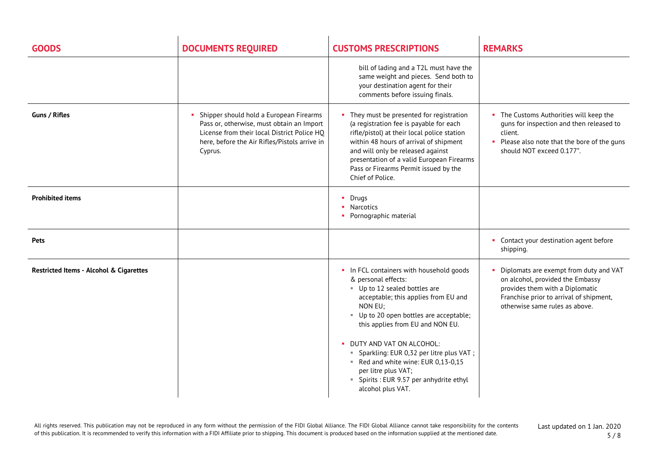| <b>GOODS</b>                                       | <b>DOCUMENTS REQUIRED</b>                                                                                                                                                                       | <b>CUSTOMS PRESCRIPTIONS</b>                                                                                                                                                                                                                                                                                                                                                                                                        | <b>REMARKS</b>                                                                                                                                                                               |
|----------------------------------------------------|-------------------------------------------------------------------------------------------------------------------------------------------------------------------------------------------------|-------------------------------------------------------------------------------------------------------------------------------------------------------------------------------------------------------------------------------------------------------------------------------------------------------------------------------------------------------------------------------------------------------------------------------------|----------------------------------------------------------------------------------------------------------------------------------------------------------------------------------------------|
|                                                    |                                                                                                                                                                                                 | bill of lading and a T2L must have the<br>same weight and pieces. Send both to<br>your destination agent for their<br>comments before issuing finals.                                                                                                                                                                                                                                                                               |                                                                                                                                                                                              |
| <b>Guns / Rifles</b>                               | Shipper should hold a European Firearms<br>Pass or, otherwise, must obtain an Import<br>License from their local District Police HQ<br>here, before the Air Rifles/Pistols arrive in<br>Cyprus. | • They must be presented for registration<br>(a registration fee is payable for each<br>rifle/pistol) at their local police station<br>within 48 hours of arrival of shipment<br>and will only be released against<br>presentation of a valid European Firearms<br>Pass or Firearms Permit issued by the<br>Chief of Police.                                                                                                        | • The Customs Authorities will keep the<br>guns for inspection and then released to<br>client.<br>• Please also note that the bore of the guns<br>should NOT exceed 0.177".                  |
| <b>Prohibited items</b>                            |                                                                                                                                                                                                 | $\blacksquare$ Drugs<br>• Narcotics<br>• Pornographic material                                                                                                                                                                                                                                                                                                                                                                      |                                                                                                                                                                                              |
| <b>Pets</b>                                        |                                                                                                                                                                                                 |                                                                                                                                                                                                                                                                                                                                                                                                                                     | • Contact your destination agent before<br>shipping.                                                                                                                                         |
| <b>Restricted Items - Alcohol &amp; Cigarettes</b> |                                                                                                                                                                                                 | In FCL containers with household goods<br>& personal effects:<br>Up to 12 sealed bottles are<br>acceptable; this applies from EU and<br>NON EU;<br>Up to 20 open bottles are acceptable;<br>this applies from EU and NON EU.<br>DUTY AND VAT ON ALCOHOL:<br>" Sparkling: EUR 0,32 per litre plus VAT ;<br>Red and white wine: EUR 0,13-0,15<br>per litre plus VAT;<br>• Spirits : EUR 9.57 per anhydrite ethyl<br>alcohol plus VAT. | • Diplomats are exempt from duty and VAT<br>on alcohol, provided the Embassy<br>provides them with a Diplomatic<br>Franchise prior to arrival of shipment,<br>otherwise same rules as above. |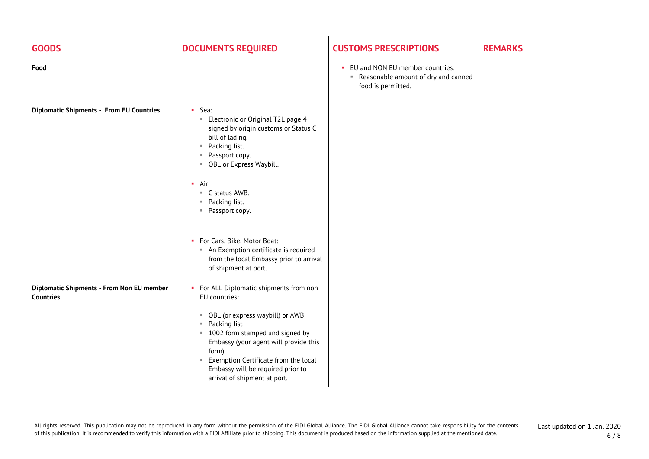| <b>GOODS</b>                                                  | <b>DOCUMENTS REQUIRED</b>                                                                                                                                                                                                                                                                                                                                                                                                                     | <b>CUSTOMS PRESCRIPTIONS</b>                                                                   | <b>REMARKS</b> |
|---------------------------------------------------------------|-----------------------------------------------------------------------------------------------------------------------------------------------------------------------------------------------------------------------------------------------------------------------------------------------------------------------------------------------------------------------------------------------------------------------------------------------|------------------------------------------------------------------------------------------------|----------------|
| Food                                                          |                                                                                                                                                                                                                                                                                                                                                                                                                                               | • EU and NON EU member countries:<br>Reasonable amount of dry and canned<br>food is permitted. |                |
| <b>Diplomatic Shipments - From EU Countries</b>               | $-$ Sea:<br>Electronic or Original T2L page 4<br>signed by origin customs or Status C<br>bill of lading.<br>Packing list.<br>٠,<br>Passport copy.<br>$\mathbb{R}^+$<br>" OBL or Express Waybill.<br>$\blacksquare$ Air:<br>■ C status AWB.<br>Packing list.<br>$\mathbb{R}^n$<br>" Passport copy.<br>• For Cars, Bike, Motor Boat:<br>An Exemption certificate is required<br>from the local Embassy prior to arrival<br>of shipment at port. |                                                                                                |                |
| Diplomatic Shipments - From Non EU member<br><b>Countries</b> | • For ALL Diplomatic shipments from non<br>EU countries:<br>OBL (or express waybill) or AWB<br>ш.<br>" Packing list<br>" 1002 form stamped and signed by<br>Embassy (your agent will provide this<br>form)<br>Exemption Certificate from the local<br>л.<br>Embassy will be required prior to<br>arrival of shipment at port.                                                                                                                 |                                                                                                |                |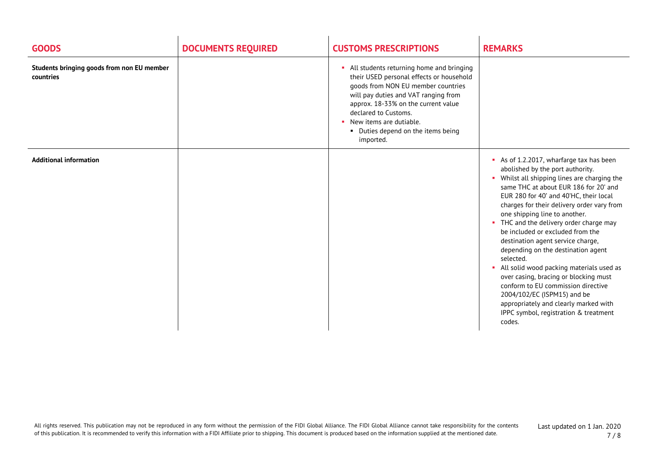| <b>GOODS</b>                                            | <b>DOCUMENTS REQUIRED</b> | <b>CUSTOMS PRESCRIPTIONS</b>                                                                                                                                                                                                                                                                                        | <b>REMARKS</b>                                                                                                                                                                                                                                                                                                                                                                                                                                                                                                                                                                                                                                                                                                            |
|---------------------------------------------------------|---------------------------|---------------------------------------------------------------------------------------------------------------------------------------------------------------------------------------------------------------------------------------------------------------------------------------------------------------------|---------------------------------------------------------------------------------------------------------------------------------------------------------------------------------------------------------------------------------------------------------------------------------------------------------------------------------------------------------------------------------------------------------------------------------------------------------------------------------------------------------------------------------------------------------------------------------------------------------------------------------------------------------------------------------------------------------------------------|
| Students bringing goods from non EU member<br>countries |                           | • All students returning home and bringing<br>their USED personal effects or household<br>goods from NON EU member countries<br>will pay duties and VAT ranging from<br>approx. 18-33% on the current value<br>declared to Customs.<br>• New items are dutiable.<br>• Duties depend on the items being<br>imported. |                                                                                                                                                                                                                                                                                                                                                                                                                                                                                                                                                                                                                                                                                                                           |
| <b>Additional information</b>                           |                           |                                                                                                                                                                                                                                                                                                                     | As of 1.2.2017, wharfarge tax has been<br>abolished by the port authority.<br>• Whilst all shipping lines are charging the<br>same THC at about EUR 186 for 20' and<br>EUR 280 for 40' and 40'HC, their local<br>charges for their delivery order vary from<br>one shipping line to another.<br>• THC and the delivery order charge may<br>be included or excluded from the<br>destination agent service charge,<br>depending on the destination agent<br>selected.<br>All solid wood packing materials used as<br>over casing, bracing or blocking must<br>conform to EU commission directive<br>2004/102/EC (ISPM15) and be<br>appropriately and clearly marked with<br>IPPC symbol, registration & treatment<br>codes. |